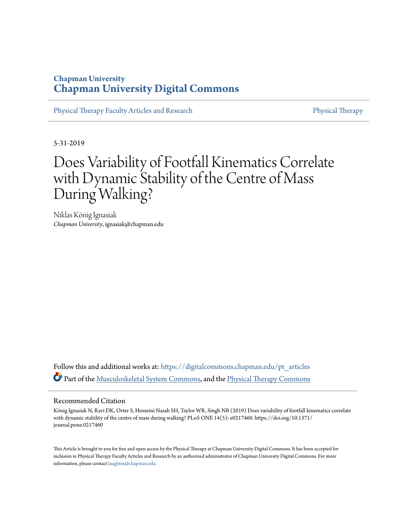## **Chapman University [Chapman University Digital Commons](https://digitalcommons.chapman.edu?utm_source=digitalcommons.chapman.edu%2Fpt_articles%2F107&utm_medium=PDF&utm_campaign=PDFCoverPages)**

[Physical Therapy Faculty Articles and Research](https://digitalcommons.chapman.edu/pt_articles?utm_source=digitalcommons.chapman.edu%2Fpt_articles%2F107&utm_medium=PDF&utm_campaign=PDFCoverPages) [Physical Therapy](https://digitalcommons.chapman.edu/physicaltherapy?utm_source=digitalcommons.chapman.edu%2Fpt_articles%2F107&utm_medium=PDF&utm_campaign=PDFCoverPages)

5-31-2019

# Does Variability of Footfall Kinematics Correlate with Dynamic Stability of the Centre of Mass During Walking?

Niklas König Ignasiak *Chapman University*, ignasiak@chapman.edu

Follow this and additional works at: [https://digitalcommons.chapman.edu/pt\\_articles](https://digitalcommons.chapman.edu/pt_articles?utm_source=digitalcommons.chapman.edu%2Fpt_articles%2F107&utm_medium=PDF&utm_campaign=PDFCoverPages) Part of the [Musculoskeletal System Commons,](http://network.bepress.com/hgg/discipline/938?utm_source=digitalcommons.chapman.edu%2Fpt_articles%2F107&utm_medium=PDF&utm_campaign=PDFCoverPages) and the [Physical Therapy Commons](http://network.bepress.com/hgg/discipline/754?utm_source=digitalcommons.chapman.edu%2Fpt_articles%2F107&utm_medium=PDF&utm_campaign=PDFCoverPages)

#### Recommended Citation

König Ignasiak N, Ravi DK, Orter S, Hosseini Nasab SH, Taylor WR, Singh NB (2019) Does variability of footfall kinematics correlate with dynamic stability of the centre of mass during walking? PLoS ONE 14(5): e0217460. https://doi.org/10.1371/ journal.pone.0217460

This Article is brought to you for free and open access by the Physical Therapy at Chapman University Digital Commons. It has been accepted for inclusion in Physical Therapy Faculty Articles and Research by an authorized administrator of Chapman University Digital Commons. For more information, please contact [laughtin@chapman.edu](mailto:laughtin@chapman.edu).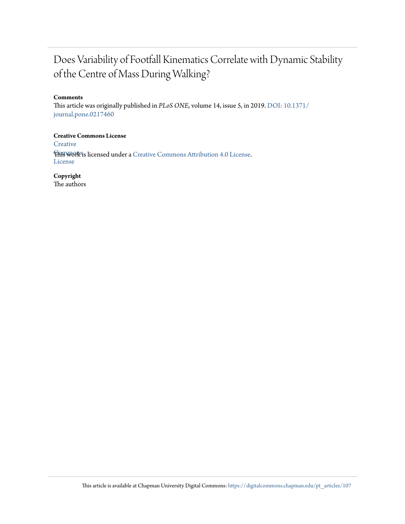## Does Variability of Footfall Kinematics Correlate with Dynamic Stability of the Centre of Mass During Walking?

#### **Comments**

This article was originally published in *PLoS ONE*, volume 14, issue 5, in 2019. [DOI: 10.1371/](https://doi.org/10.1371/journal.pone.0217460) [journal.pone.0217460](https://doi.org/10.1371/journal.pone.0217460)

#### **Creative Commons License**

**[Creative](https://creativecommons.org/licenses/by/4.0/)** 

**Fhis work is licensed under a** [Creative Commons Attribution 4.0 License.](https://creativecommons.org/licenses/by/4.0/) License

**Copyright**

The authors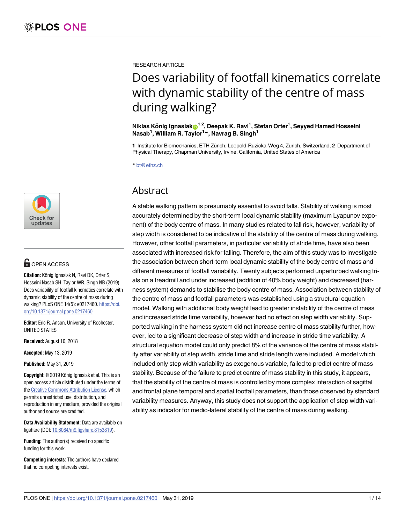

## **G** OPEN ACCESS

**Citation:** König Ignasiak N, Ravi DK, Orter S, Hosseini Nasab SH, Taylor WR, Singh NB (2019) Does variability of footfall kinematics correlate with dynamic stability of the centre of mass during walking? PLoS ONE 14(5): e0217460. [https://doi.](https://doi.org/10.1371/journal.pone.0217460) [org/10.1371/journal.pone.0217460](https://doi.org/10.1371/journal.pone.0217460)

**Editor:** Eric R. Anson, University of Rochester, UNITED STATES

**Received:** August 10, 2018

**Accepted:** May 13, 2019

**Published:** May 31, 2019

**Copyright:** © 2019 König Ignasiak et al. This is an open access article distributed under the terms of the Creative [Commons](http://creativecommons.org/licenses/by/4.0/) Attribution License, which permits unrestricted use, distribution, and reproduction in any medium, provided the original author and source are credited.

**Data Availability Statement:** Data are available on figshare (DOI: [10.6084/m9.figshare.8153819](https://doi.org/10.6084/m9.figshare.8153819)).

**Funding:** The author(s) received no specific funding for this work.

**Competing interests:** The authors have declared that no competing interests exist.

RESEARCH ARTICLE

# Does variability of footfall kinematics correlate with dynamic stability of the centre of mass during walking?

 ${\bf N}$ iklas König Ignasiak ${\bf \Theta}^{1,2}$ , Deepak K. Ravi $^1$ , Stefan Orter $^1$ , Seyyed Hamed Hosseini **Nasab1 , William R. Taylor1 \*, Navrag B. Singh<sup>1</sup>**

1 Institute for Biomechanics, ETH Zürich, Leopold-Ruzicka-Weg 4, Zurich, Switzerland, 2 Department of Physical Therapy, Chapman University, Irvine, California, United States of America

\* bt@ethz.ch

## Abstract

A stable walking pattern is presumably essential to avoid falls. Stability of walking is most accurately determined by the short-term local dynamic stability (maximum Lyapunov exponent) of the body centre of mass. In many studies related to fall risk, however, variability of step width is considered to be indicative of the stability of the centre of mass during walking. However, other footfall parameters, in particular variability of stride time, have also been associated with increased risk for falling. Therefore, the aim of this study was to investigate the association between short-term local dynamic stability of the body centre of mass and different measures of footfall variability. Twenty subjects performed unperturbed walking trials on a treadmill and under increased (addition of 40% body weight) and decreased (harness system) demands to stabilise the body centre of mass. Association between stability of the centre of mass and footfall parameters was established using a structural equation model. Walking with additional body weight lead to greater instability of the centre of mass and increased stride time variability, however had no effect on step width variability. Supported walking in the harness system did not increase centre of mass stability further, however, led to a significant decrease of step width and increase in stride time variability. A structural equation model could only predict 8% of the variance of the centre of mass stability after variability of step width, stride time and stride length were included. A model which included only step width variability as exogenous variable, failed to predict centre of mass stability. Because of the failure to predict centre of mass stability in this study, it appears, that the stability of the centre of mass is controlled by more complex interaction of sagittal and frontal plane temporal and spatial footfall parameters, than those observed by standard variability measures. Anyway, this study does not support the application of step width variability as indicator for medio-lateral stability of the centre of mass during walking.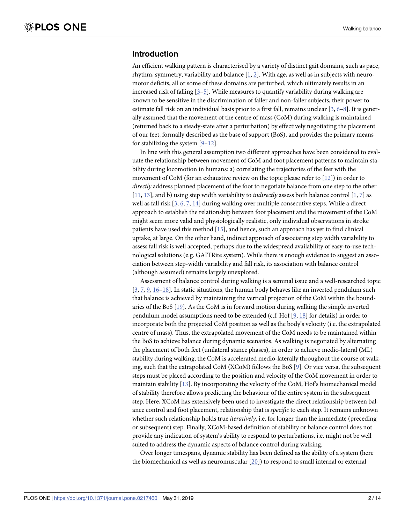#### <span id="page-3-0"></span>**Introduction**

An efficient walking pattern is characterised by a variety of distinct gait domains, such as pace, rhythm, symmetry, variability and balance  $[1, 2]$  $[1, 2]$  $[1, 2]$  $[1, 2]$ . With age, as well as in subjects with neuromotor deficits, all or some of these domains are perturbed, which ultimately results in an increased risk of falling [[3–5\]](#page-13-0). While measures to quantify variability during walking are known to be sensitive in the discrimination of faller and non-faller subjects, their power to estimate fall risk on an individual basis prior to a first fall, remains unclear  $[3, 6-8]$  $[3, 6-8]$  $[3, 6-8]$ . It is generally assumed that the movement of the centre of mass (CoM) during walking is maintained (returned back to a steady-state after a perturbation) by effectively negotiating the placement of our feet, formally described as the base of support (BoS), and provides the primary means for stabilizing the system  $[9-12]$  $[9-12]$ .

In line with this general assumption two different approaches have been considered to evaluate the relationship between movement of CoM and foot placement patterns to maintain stability during locomotion in humans: a) correlating the trajectories of the feet with the movement of CoM (for an exhaustive review on the topic please refer to [[12](#page-14-0)]) in order to *directly* address planned placement of the foot to negotiate balance from one step to the other [\[11,](#page-14-0) [13\]](#page-14-0), and b) using step width variability to *indirectly* assess both balance control [\[1](#page-13-0), [7](#page-13-0)] as well as fall risk [\[3](#page-13-0), [6](#page-13-0), [7](#page-13-0), [14](#page-14-0)] during walking over multiple consecutive steps. While a direct approach to establish the relationship between foot placement and the movement of the CoM might seem more valid and physiologically realistic, only individual observations in stroke patients have used this method [\[15\]](#page-14-0), and hence, such an approach has yet to find clinical uptake, at large. On the other hand, indirect approach of associating step width variability to assess fall risk is well accepted, perhaps due to the widespread availability of easy-to-use technological solutions (e.g. GAITRite system). While there is enough evidence to suggest an association between step-width variability and fall risk, its association with balance control (although assumed) remains largely unexplored.

Assessment of balance control during walking is a seminal issue and a well-researched topic [\[3](#page-13-0), [7](#page-13-0), [9,](#page-13-0) [16–18](#page-14-0)]. In static situations, the human body behaves like an inverted pendulum such that balance is achieved by maintaining the vertical projection of the CoM within the boundaries of the BoS [[19](#page-14-0)]. As the CoM is in forward motion during walking the simple inverted pendulum model assumptions need to be extended (c.f. Hof [\[9](#page-13-0), [18](#page-14-0)] for details) in order to incorporate both the projected CoM position as well as the body's velocity (i.e. the extrapolated centre of mass). Thus, the extrapolated movement of the CoM needs to be maintained within the BoS to achieve balance during dynamic scenarios. As walking is negotiated by alternating the placement of both feet (unilateral stance phases), in order to achieve medio-lateral (ML) stability during walking, the CoM is accelerated medio-laterally throughout the course of walking, such that the extrapolated CoM (XCoM) follows the BoS [[9](#page-13-0)]. Or vice versa, the subsequent steps must be placed according to the position and velocity of the CoM movement in order to maintain stability [\[13\]](#page-14-0). By incorporating the velocity of the CoM, Hof's biomechanical model of stability therefore allows predicting the behaviour of the entire system in the subsequent step. Here, XCoM has extensively been used to investigate the direct relationship between balance control and foot placement, relationship that is *specific* to each step. It remains unknown whether such relationship holds true *iteratively*, i.e. for longer than the immediate (preceding or subsequent) step. Finally, XCoM-based definition of stability or balance control does not provide any indication of system's ability to respond to perturbations, i.e. might not be well suited to address the dynamic aspects of balance control during walking.

Over longer timespans, dynamic stability has been defined as the ability of a system (here the biomechanical as well as neuromuscular [\[20\]](#page-14-0)) to respond to small internal or external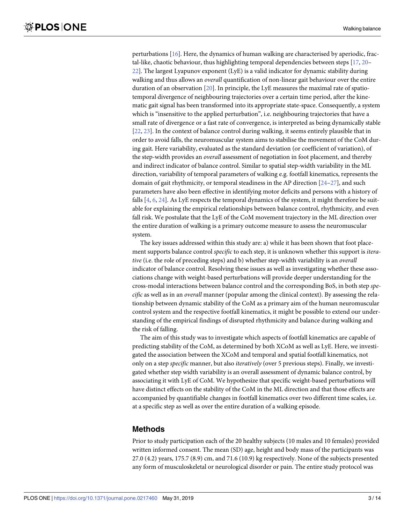<span id="page-4-0"></span>perturbations [[16](#page-14-0)]. Here, the dynamics of human walking are characterised by aperiodic, fractal-like, chaotic behaviour, thus highlighting temporal dependencies between steps [\[17,](#page-14-0) [20–](#page-14-0) [22\]](#page-14-0). The largest Lyapunov exponent (LyE) is a valid indicator for dynamic stability during walking and thus allows an *overall* quantification of non-linear gait behaviour over the entire duration of an observation [[20](#page-14-0)]. In principle, the LyE measures the maximal rate of spatiotemporal divergence of neighbouring trajectories over a certain time period, after the kinematic gait signal has been transformed into its appropriate state-space. Consequently, a system which is "insensitive to the applied perturbation", i.e. neighbouring trajectories that have a small rate of divergence or a fast rate of convergence, is interpreted as being dynamically stable [\[22,](#page-14-0) [23\]](#page-14-0). In the context of balance control during walking, it seems entirely plausible that in order to avoid falls, the neuromuscular system aims to stabilise the movement of the CoM during gait. Here variability, evaluated as the standard deviation (or coefficient of variation), of the step-width provides an *overall* assessment of negotiation in foot placement, and thereby and indirect indicator of balance control. Similar to spatial step-width variability in the ML direction, variability of temporal parameters of walking e.g. footfall kinematics, represents the domain of gait rhythmicity, or temporal steadiness in the AP direction [\[24–27](#page-14-0)], and such parameters have also been effective in identifying motor deficits and persons with a history of falls [\[4](#page-13-0), [6](#page-13-0), [24](#page-14-0)]. As LyE respects the temporal dynamics of the system, it might therefore be suitable for explaining the empirical relationships between balance control, rhythmicity, and even fall risk. We postulate that the LyE of the CoM movement trajectory in the ML direction over the entire duration of walking is a primary outcome measure to assess the neuromuscular system.

The key issues addressed within this study are: a) while it has been shown that foot placement supports balance control *specific* to each step, it is unknown whether this support is *iterative* (i.e. the role of preceding steps) and b) whether step-width variability is an *overall* indicator of balance control. Resolving these issues as well as investigating whether these associations change with weight-based perturbations will provide deeper understanding for the cross-modal interactions between balance control and the corresponding BoS, in both step *specific* as well as in an *overall* manner (popular among the clinical context). By assessing the relationship between dynamic stability of the CoM as a primary aim of the human neuromuscular control system and the respective footfall kinematics, it might be possible to extend our understanding of the empirical findings of disrupted rhythmicity and balance during walking and the risk of falling.

The aim of this study was to investigate which aspects of footfall kinematics are capable of predicting stability of the CoM, as determined by both XCoM as well as LyE. Here, we investigated the association between the XCoM and temporal and spatial footfall kinematics, not only on a step *specific* manner, but also *iteratively* (over 5 previous steps). Finally, we investigated whether step width variability is an overall assessment of dynamic balance control, by associating it with LyE of CoM. We hypothesize that specific weight-based perturbations will have distinct effects on the stability of the CoM in the ML direction and that those effects are accompanied by quantifiable changes in footfall kinematics over two different time scales, i.e. at a specific step as well as over the entire duration of a walking episode.

#### **Methods**

Prior to study participation each of the 20 healthy subjects (10 males and 10 females) provided written informed consent. The mean (SD) age, height and body mass of the participants was 27.0 (4.2) years, 175.7 (8.9) cm, and 71.6 (10.9) kg respectively. None of the subjects presented any form of musculoskeletal or neurological disorder or pain. The entire study protocol was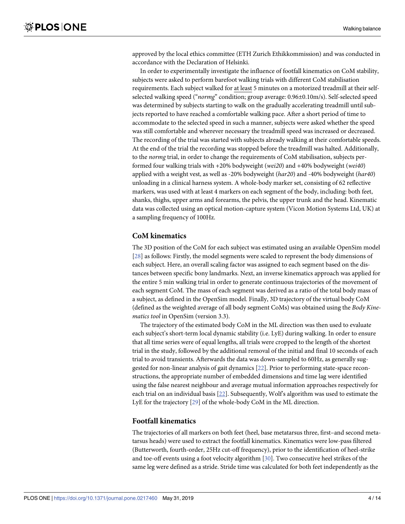<span id="page-5-0"></span>approved by the local ethics committee (ETH Zurich Ethikkommission) and was conducted in accordance with the Declaration of Helsinki.

In order to experimentally investigate the influence of footfall kinematics on CoM stability, subjects were asked to perform barefoot walking trials with different CoM stabilisation requirements. Each subject walked for at least 5 minutes on a motorized treadmill at their selfselected walking speed ("*normg*" condition; group average: 0.96±0.10m/s). Self-selected speed was determined by subjects starting to walk on the gradually accelerating treadmill until subjects reported to have reached a comfortable walking pace. After a short period of time to accommodate to the selected speed in such a manner, subjects were asked whether the speed was still comfortable and wherever necessary the treadmill speed was increased or decreased. The recording of the trial was started with subjects already walking at their comfortable speeds. At the end of the trial the recording was stopped before the treadmill was halted. Additionally, to the *normg* trial, in order to change the requirements of CoM stabilisation, subjects performed four walking trials with +20% bodyweight (*wei20*) and +40% bodyweight (*wei40*) applied with a weight vest, as well as -20% bodyweight (*har20*) and -40% bodyweight (*har40*) unloading in a clinical harness system. A whole-body marker set, consisting of 62 reflective markers, was used with at least 4 markers on each segment of the body, including: both feet, shanks, thighs, upper arms and forearms, the pelvis, the upper trunk and the head. Kinematic data was collected using an optical motion-capture system (Vicon Motion Systems Ltd, UK) at a sampling frequency of 100Hz.

#### **CoM kinematics**

The 3D position of the CoM for each subject was estimated using an available OpenSim model [\[28\]](#page-14-0) as follows: Firstly, the model segments were scaled to represent the body dimensions of each subject. Here, an overall scaling factor was assigned to each segment based on the distances between specific bony landmarks. Next, an inverse kinematics approach was applied for the entire 5 min walking trial in order to generate continuous trajectories of the movement of each segment CoM. The mass of each segment was derived as a ratio of the total body mass of a subject, as defined in the OpenSim model. Finally, 3D trajectory of the virtual body CoM (defined as the weighted average of all body segment CoMs) was obtained using the *Body Kinematics tool* in OpenSim (version 3.3).

The trajectory of the estimated body CoM in the ML direction was then used to evaluate each subject's short-term local dynamic stability (i.e. LyE) during walking. In order to ensure that all time series were of equal lengths, all trials were cropped to the length of the shortest trial in the study, followed by the additional removal of the initial and final 10 seconds of each trial to avoid transients. Afterwards the data was down-sampled to 60Hz, as generally suggested for non-linear analysis of gait dynamics [[22](#page-14-0)]. Prior to performing state-space reconstructions, the appropriate number of embedded dimensions and time lag were identified using the false nearest neighbour and average mutual information approaches respectively for each trial on an individual basis [\[22\]](#page-14-0). Subsequently, Wolf's algorithm was used to estimate the LyE for the trajectory [\[29\]](#page-14-0) of the whole-body CoM in the ML direction.

#### **Footfall kinematics**

The trajectories of all markers on both feet (heel, base metatarsus three, first–and second metatarsus heads) were used to extract the footfall kinematics. Kinematics were low-pass filtered (Butterworth, fourth-order, 25Hz cut-off frequency), prior to the identification of heel-strike and toe-off events using a foot velocity algorithm [[30](#page-14-0)]. Two consecutive heel strikes of the same leg were defined as a stride. Stride time was calculated for both feet independently as the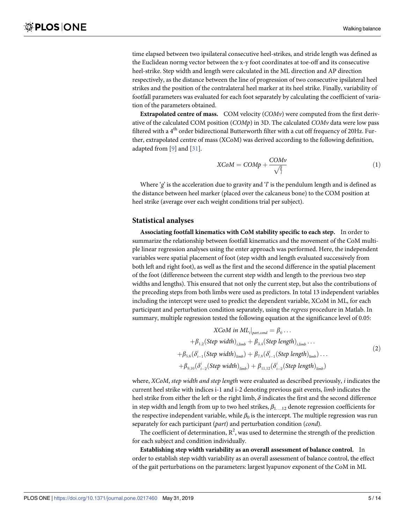<span id="page-6-0"></span>time elapsed between two ipsilateral consecutive heel-strikes, and stride length was defined as the Euclidean normg vector between the x-y foot coordinates at toe-off and its consecutive heel-strike. Step width and length were calculated in the ML direction and AP direction respectively, as the distance between the line of progression of two consecutive ipsilateral heel strikes and the position of the contralateral heel marker at its heel strike. Finally, variability of footfall parameters was evaluated for each foot separately by calculating the coefficient of variation of the parameters obtained.

**Extrapolated centre of mass.** COM velocity (*COMv*) were computed from the first derivative of the calculated COM position (*COMp*) in 3D. The calculated *COMv* data were low pass filtered with a 4<sup>th</sup> order bidirectional Butterworth filter with a cut off frequency of 20Hz. Further, extrapolated centre of mass (XCoM) was derived according to the following definition, adapted from [\[9](#page-13-0)] and [\[31\]](#page-14-0).

$$
XCoM = COMp + \frac{COMv}{\sqrt{\frac{8}{l}}}
$$
\n(1)

Where '*g*' is the acceleration due to gravity and '*l*' is the pendulum length and is defined as the distance between heel marker (placed over the calcaneus bone) to the COM position at heel strike (average over each weight conditions trial per subject).

#### **Statistical analyses**

**Associating footfall kinematics with CoM stability specific to each step.** In order to summarize the relationship between footfall kinematics and the movement of the CoM multiple linear regression analyses using the enter approach was performed. Here, the independent variables were spatial placement of foot (step width and length evaluated successively from both left and right foot), as well as the first and the second difference in the spatial placement of the foot (difference between the current step width and length to the previous two step widths and lengths). This ensured that not only the current step, but also the contributions of the preceding steps from both limbs were used as predictors. In total 13 independent variables including the intercept were used to predict the dependent variable, XCoM in ML, for each participant and perturbation condition separately, using the *regress* procedure in Matlab. In summary, multiple regression tested the following equation at the significance level of 0.05:

$$
XCoM in MLi|part, cond = \beta0... + \beta1,2(Step width)i,limb + \beta3,4(Step length)i,limb... + \beta5,6(\deltaii-1(Step width)limb) + \beta7,8(\deltaii-1(Step length)limb)... + \beta9,10(\deltaii-2(Step width)limb) + \beta1,12(\deltaii-2(Step length)limb)
$$
\n(2)

where, *XCoM*, *step width and step length* were evaluated as described previously, *i* indicates the current heel strike with indices i-1 and i-2 denoting previous gait events, *limb* indicates the heel strike from either the left or the right limb,  $\delta$  indicates the first and the second difference in step width and length from up to two heel strikes,  $\beta_{1...12}$  denote regression coefficients for the respective independent variable, while  $\beta_0$  is the intercept. The multiple regression was run separately for each participant (*part*) and perturbation condition (*cond*).

The coefficient of determination,  $R^2$ , was used to determine the strength of the prediction for each subject and condition individually.

**Establishing step width variability as an overall assessment of balance control.** In order to establish step width variability as an overall assessment of balance control, the effect of the gait perturbations on the parameters: largest lyapunov exponent of the CoM in ML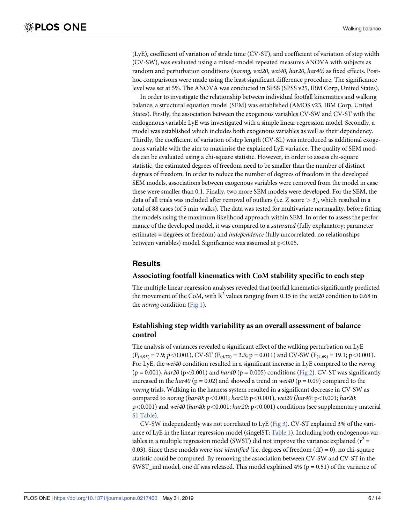<span id="page-7-0"></span>(LyE), coefficient of variation of stride time (CV-ST), and coefficient of variation of step width (CV-SW), was evaluated using a mixed-model repeated measures ANOVA with subjects as random and perturbation conditions (*normg*, *wei20*, *wei40*, *har20*, *har40)* as fixed effects. Posthoc comparisons were made using the least significant difference procedure. The significance level was set at 5%. The ANOVA was conducted in SPSS (SPSS v25, IBM Corp, United States).

In order to investigate the relationship between individual footfall kinematics and walking balance, a structural equation model (SEM) was established (AMOS v23, IBM Corp, United States). Firstly, the association between the exogenous variables CV-SW and CV-ST with the endogenous variable LyE was investigated with a simple linear regression model. Secondly, a model was established which includes both exogenous variables as well as their dependency. Thirdly, the coefficient of variation of step length (CV-SL) was introduced as additional exogenous variable with the aim to maximise the explained LyE variance. The quality of SEM models can be evaluated using a chi-square statistic. However, in order to assess chi-square statistic, the estimated degrees of freedom need to be smaller than the number of distinct degrees of freedom. In order to reduce the number of degrees of freedom in the developed SEM models, associations between exogenous variables were removed from the model in case these were smaller than 0.1. Finally, two more SEM models were developed. For the SEM, the data of all trials was included after removal of outliers (i.e. Z score *>* 3), which resulted in a total of 88 cases (of 5 min walks). The data was tested for multivariate normgality, before fitting the models using the maximum likelihood approach within SEM. In order to assess the performance of the developed model, it was compared to a *saturated* (fully explanatory; parameter estimates = degrees of freedom) and *independence* (fully uncorrelated; no relationships between variables) model. Significance was assumed at p*<*0.05.

#### **Results**

#### **Associating footfall kinematics with CoM stability specific to each step**

The multiple linear regression analyses revealed that footfall kinematics significantly predicted the movement of the CoM, with  $R^2$  values ranging from 0.15 in the *wei20* condition to 0.68 in the *normg* condition [\(Fig](#page-8-0) 1).

#### **Establishing step width variability as an overall assessment of balance control**

The analysis of variances revealed a significant effect of the walking perturbation on LyE  $(F_{(4,95)} = 7.9; p < 0.001)$ , CV-ST  $(F_{(4,72)} = 3.5; p = 0.011)$  and CV-SW  $(F_{(4,69)} = 19.1; p < 0.001)$ . For LyE, the *wei40* condition resulted in a significant increase in LyE compared to the *normg*  $(p = 0.001)$ , *har20* ( $p < 0.001$ ) and *har40* ( $p = 0.005$ ) conditions ([Fig](#page-9-0) 2). CV-ST was significantly increased in the  $har40$  ( $p = 0.02$ ) and showed a trend in  $wei40$  ( $p = 0.09$ ) compared to the *normg* trials. Walking in the harness system resulted in a significant decrease in CV-SW as compared to *normg* (*har40*: p*<*0.001; *har20*: p*<*0.001), *wei20* (*har40*: p*<*0.001; *har20*: p*<*0.001) and *wei40* (*har40*: p*<*0.001; *har20*: p*<*0.001) conditions (see supplementary material S1 [Table\)](#page-12-0).

CV-SW independently was not correlated to LyE [\(Fig](#page-10-0) 3). CV-ST explained 3% of the vari-ance of LyE in the linear regression model (singelST; [Table](#page-10-0) 1). Including both endogenous variables in a multiple regression model (SWST) did not improve the variance explained  $(r^2 =$ 0.03). Since these models were *just identified* (i.e. degrees of freedom (df) = 0), no chi-square statistic could be computed. By removing the association between CV-SW and CV-ST in the SWST\_ind model, one df was released. This model explained  $4\%$  ( $p = 0.51$ ) of the variance of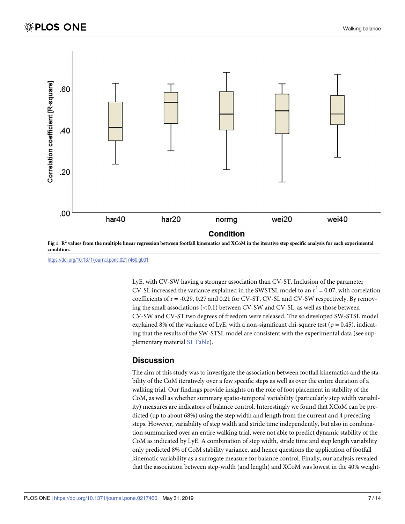<span id="page-8-0"></span>

[Fig](#page-7-0) 1.  $R^2$  values from the multiple linear regression between footfall kinematics and XCoM in the iterative step specific analysis for each experimental **condition.**

<https://doi.org/10.1371/journal.pone.0217460.g001>

LyE, with CV-SW having a stronger association than CV-ST. Inclusion of the parameter CV-SL increased the variance explained in the SWSTSL model to an  $r^2 = 0.07$ , with correlation coefficients of r = -0.29, 0.27 and 0.21 for CV-ST, CV-SL and CV-SW respectively. By removing the small associations (*<*0.1) between CV-SW and CV-SL, as well as those between CV-SW and CV-ST two degrees of freedom were released. The so developed SW-STSL model explained 8% of the variance of LyE, with a non-significant chi-square test ( $p = 0.45$ ), indicating that the results of the SW-STSL model are consistent with the experimental data (see supplementary material S1 [Table\)](#page-12-0).

#### **Discussion**

The aim of this study was to investigate the association between footfall kinematics and the stability of the CoM iteratively over a few specific steps as well as over the entire duration of a walking trial. Our findings provide insights on the role of foot placement in stability of the CoM, as well as whether summary spatio-temporal variability (particularly step width variability) measures are indicators of balance control. Interestingly we found that XCoM can be predicted (up to about 68%) using the step width and length from the current and 4 preceding steps. However, variability of step width and stride time independently, but also in combination summarized over an entire walking trial, were not able to predict dynamic stability of the CoM as indicated by LyE. A combination of step width, stride time and step length variability only predicted 8% of CoM stability variance, and hence questions the application of footfall kinematic variability as a surrogate measure for balance control. Finally, our analysis revealed that the association between step-width (and length) and XCoM was lowest in the 40% weight-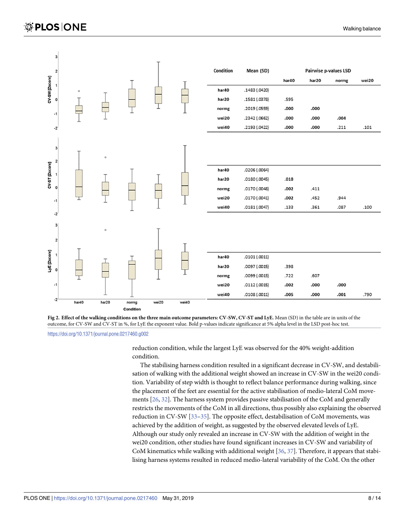<span id="page-9-0"></span>

[Fig](#page-7-0) 2. Effect of the walking conditions on the three main outcome parameters: CV-SW, CV-ST and LyE. Mean (SD) in the table are in units of the outcome, for CV-SW and CV-ST in %, for LyE the exponent value. Bold p-values indicate significance at 5% alpha level in the LSD post-hoc test.

<https://doi.org/10.1371/journal.pone.0217460.g002>

reduction condition, while the largest LyE was observed for the 40% weight-addition condition.

The stabilising harness condition resulted in a significant decrease in CV-SW, and destabilisation of walking with the additional weight showed an increase in CV-SW in the wei20 condition. Variability of step width is thought to reflect balance performance during walking, since the placement of the feet are essential for the active stabilisation of medio-lateral CoM movements [\[26,](#page-14-0) [32\]](#page-15-0). The harness system provides passive stabilisation of the CoM and generally restricts the movements of the CoM in all directions, thus possibly also explaining the observed reduction in CV-SW [[33–35\]](#page-15-0). The opposite effect, destabilisation of CoM movements, was achieved by the addition of weight, as suggested by the observed elevated levels of LyE. Although our study only revealed an increase in CV-SW with the addition of weight in the wei20 condition, other studies have found significant increases in CV-SW and variability of CoM kinematics while walking with additional weight [\[36,](#page-15-0) [37\]](#page-15-0). Therefore, it appears that stabilising harness systems resulted in reduced medio-lateral variability of the CoM. On the other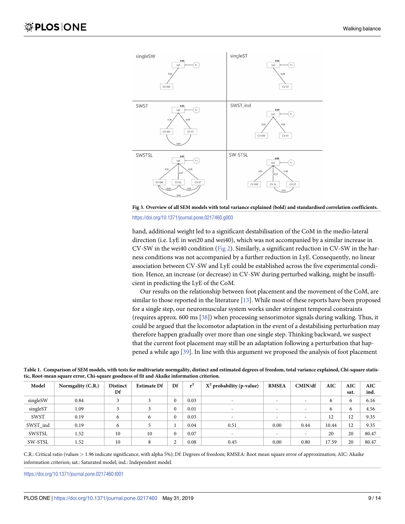<span id="page-10-0"></span>

[Fig](#page-7-0) 3. Overview of all SEM models with total variance explained (bold) and standardised correlation coefficients.

<https://doi.org/10.1371/journal.pone.0217460.g003>

hand, additional weight led to a significant destabilisation of the CoM in the medio-lateral direction (i.e. LyE in wei20 and wei40), which was not accompanied by a similar increase in CV-SW in the wei40 condition ([Fig](#page-9-0) 2). Similarly, a significant reduction in CV-SW in the harness conditions was not accompanied by a further reduction in LyE. Consequently, no linear association between CV-SW and LyE could be established across the five experimental condition. Hence, an increase (or decrease) in CV-SW during perturbed walking, might be insufficient in predicting the LyE of the CoM.

Our results on the relationship between foot placement and the movement of the CoM, are similar to those reported in the literature [\[13\]](#page-14-0). While most of these reports have been proposed for a single step, our neuromuscular system works under stringent temporal constraints (requires approx. 600 ms [[38](#page-15-0)]) when processing sensorimotor signals during walking. Thus, it could be argued that the locomotor adaptation in the event of a destabilising perturbation may therefore happen gradually over more than one single step. Thinking backward, we suspect that the current foot placement may still be an adaptation following a perturbation that happened a while ago [\[39\]](#page-15-0). In line with this argument we proposed the analysis of foot placement

| Table 1. Comparison of SEM models, with tests for multivariate normgality, distinct and estimated degrees of freedom, total variance explained, Chi-square statis- |  |  |  |  |
|--------------------------------------------------------------------------------------------------------------------------------------------------------------------|--|--|--|--|
| tic, Root-mean square error, Chi-square goodness of fit and Akaike information criterion.                                                                          |  |  |  |  |

| Model    | Normgality (C.R.) | <b>Distinct</b><br>Df | <b>Estimate Df</b> | Df       | $^2$ | $X^2$ probability (p-value) | <b>RMSEA</b>             | CMIN/df                  | <b>AIC</b> | AIC<br>sat. | <b>AIC</b><br>ind. |
|----------|-------------------|-----------------------|--------------------|----------|------|-----------------------------|--------------------------|--------------------------|------------|-------------|--------------------|
| singleSW | 0.84              |                       |                    | $\Omega$ | 0.03 | -                           | $\overline{\phantom{a}}$ |                          | 6          | 6           | 6.16               |
| singleST | 1.09              |                       |                    | $\Omega$ | 0.01 | -                           | $\overline{\phantom{a}}$ | $\overline{\phantom{a}}$ | 6          | 6           | 4.56               |
| SWST     | 0.19              | 6                     | 6                  | $\Omega$ | 0.03 |                             | $\overline{\phantom{a}}$ |                          | 12         | 12          | 9.35               |
| SWST ind | 0.19              | 6                     |                    |          | 0.04 | 0.51                        | 0.00                     | 0.44                     | 10.44      | 12          | 9.35               |
| SWSTSL   | 1.52              | 10                    | 10                 | $\Omega$ | 0.07 | $\overline{\phantom{a}}$    | $\overline{\phantom{a}}$ |                          | 20         | 20          | 80.47              |
| SW-STSL  | 1.52              | 10                    | 8                  | $\sim$   | 0.08 | 0.45                        | 0.00                     | 0.80                     | 17.59      | 20          | 80.47              |

C.R.: Critical ratio (values *>* 1.96 indicate significance, with alpha 5%); Df: Degrees of freedom; RMSEA: Root mean square error of approximation; AIC: Akaike information criterion; sat.: Saturated model; ind.: Independent model.

<https://doi.org/10.1371/journal.pone.0217460.t001>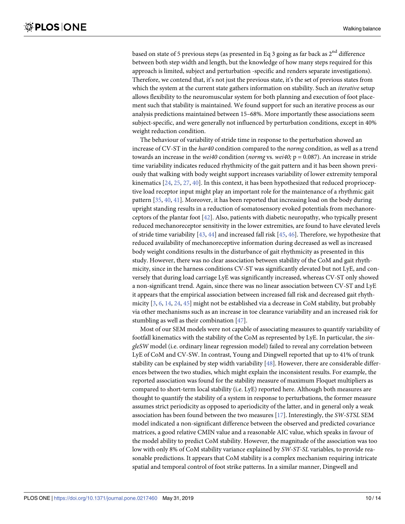<span id="page-11-0"></span>based on state of 5 previous steps (as presented in Eq 3 going as far back as 2<sup>nd</sup> difference between both step width and length, but the knowledge of how many steps required for this approach is limited, subject and perturbation -specific and renders separate investigations). Therefore, we contend that, it's not just the previous state, it's the set of previous states from which the system at the current state gathers information on stability. Such an *iterative* setup allows flexibility to the neuromuscular system for both planning and execution of foot placement such that stability is maintained. We found support for such an iterative process as our analysis predictions maintained between 15–68%. More importantly these associations seem subject-specific, and were generally not influenced by perturbation conditions, except in 40% weight reduction condition.

The behaviour of variability of stride time in response to the perturbation showed an increase of CV-ST in the *har40* condition compared to the *normg* condition, as well as a trend towards an increase in the *wei40* condition (*normg* vs. *wei40;* p = 0.087). An increase in stride time variability indicates reduced rhythmicity of the gait pattern and it has been shown previously that walking with body weight support increases variability of lower extremity temporal kinematics [\[24,](#page-14-0) [25](#page-14-0), [27](#page-14-0), [40](#page-15-0)]. In this context, it has been hypothesized that reduced proprioceptive load receptor input might play an important role for the maintenance of a rhythmic gait pattern [[35](#page-15-0), [40,](#page-15-0) [41\]](#page-15-0). Moreover, it has been reported that increasing load on the body during upright standing results in a reduction of somatosensory evoked potentials from mechanoreceptors of the plantar foot [\[42\]](#page-15-0). Also, patients with diabetic neuropathy, who typically present reduced mechanoreceptor sensitivity in the lower extremities, are found to have elevated levels of stride time variability [[43](#page-15-0), [44](#page-15-0)] and increased fall risk [\[45,](#page-15-0) [46](#page-15-0)]. Therefore, we hypothesize that reduced availability of mechanoreceptive information during decreased as well as increased body weight conditions results in the disturbance of gait rhythmicity as presented in this study. However, there was no clear association between stability of the CoM and gait rhythmicity, since in the harness conditions CV-ST was significantly elevated but not LyE, and conversely that during load carriage LyE was significantly increased, whereas CV-ST only showed a non-significant trend. Again, since there was no linear association between CV-ST and LyE it appears that the empirical association between increased fall risk and decreased gait rhythmicity [[3,](#page-13-0) [6,](#page-13-0) [14,](#page-14-0) [24,](#page-14-0) [45\]](#page-15-0) might not be established via a decrease in CoM stability, but probably via other mechanisms such as an increase in toe clearance variability and an increased risk for stumbling as well as their combination [\[47\]](#page-15-0).

Most of our SEM models were not capable of associating measures to quantify variability of footfall kinematics with the stability of the CoM as represented by LyE. In particular, the *singleSW* model (i.e. ordinary linear regression model) failed to reveal any correlation between LyE of CoM and CV-SW. In contrast, Young and Dingwell reported that up to 41% of trunk stability can be explained by step width variability [[48](#page-15-0)]. However, there are considerable differences between the two studies, which might explain the inconsistent results. For example, the reported association was found for the stability measure of maximum Floquet multipliers as compared to short-term local stability (i.e. LyE) reported here. Although both measures are thought to quantify the stability of a system in response to perturbations, the former measure assumes strict periodicity as opposed to aperiodicity of the latter, and in general only a weak association has been found between the two measures [\[17\]](#page-14-0). Interestingly, the *SW-STSL* SEM model indicated a non-significant difference between the observed and predicted covariance matrices, a good relative CMIN value and a reasonable AIC value, which speaks in favour of the model ability to predict CoM stability. However, the magnitude of the association was too low with only 8% of CoM stability variance explained by *SW-ST-SL* variables, to provide reasonable predictions. It appears that CoM stability is a complex mechanism requiring intricate spatial and temporal control of foot strike patterns. In a similar manner, Dingwell and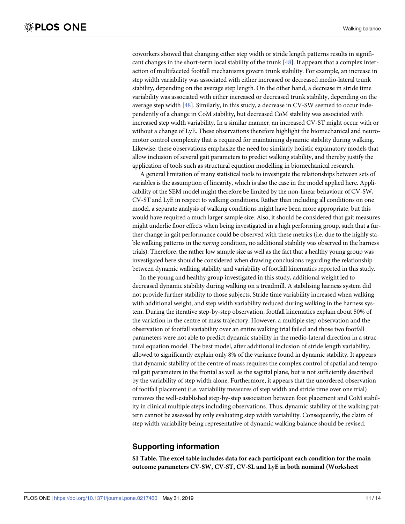<span id="page-12-0"></span>coworkers showed that changing either step width or stride length patterns results in significant changes in the short-term local stability of the trunk [\[48\]](#page-15-0). It appears that a complex interaction of multifaceted footfall mechanisms govern trunk stability. For example, an increase in step width variability was associated with either increased or decreased medio-lateral trunk stability, depending on the average step length. On the other hand, a decrease in stride time variability was associated with either increased or decreased trunk stability, depending on the average step width [\[48\]](#page-15-0). Similarly, in this study, a decrease in CV-SW seemed to occur independently of a change in CoM stability, but decreased CoM stability was associated with increased step width variability. In a similar manner, an increased CV-ST might occur with or without a change of LyE. These observations therefore highlight the biomechanical and neuromotor control complexity that is required for maintaining dynamic stability during walking. Likewise, these observations emphasize the need for similarly holistic explanatory models that allow inclusion of several gait parameters to predict walking stability, and thereby justify the application of tools such as structural equation modelling in biomechanical research.

A general limitation of many statistical tools to investigate the relationships between sets of variables is the assumption of linearity, which is also the case in the model applied here. Applicability of the SEM model might therefore be limited by the non-linear behaviour of CV-SW, CV-ST and LyE in respect to walking conditions. Rather than including all conditions on one model, a separate analysis of walking conditions might have been more appropriate, but this would have required a much larger sample size. Also, it should be considered that gait measures might underlie floor effects when being investigated in a high performing group, such that a further change in gait performance could be observed with these metrics (i.e. due to the highly stable walking patterns in the *normg* condition, no additional stability was observed in the harness trials). Therefore, the rather low sample size as well as the fact that a healthy young group was investigated here should be considered when drawing conclusions regarding the relationship between dynamic walking stability and variability of footfall kinematics reported in this study.

In the young and healthy group investigated in this study, additional weight led to decreased dynamic stability during walking on a treadmill. A stabilising harness system did not provide further stability to those subjects. Stride time variability increased when walking with additional weight, and step width variability reduced during walking in the harness system. During the iterative step-by-step observation, footfall kinematics explain about 50% of the variation in the centre of mass trajectory. However, a multiple step observation and the observation of footfall variability over an entire walking trial failed and those two footfall parameters were not able to predict dynamic stability in the medio-lateral direction in a structural equation model. The best model, after additional inclusion of stride length variability, allowed to significantly explain only 8% of the variance found in dynamic stability. It appears that dynamic stability of the centre of mass requires the complex control of spatial and temporal gait parameters in the frontal as well as the sagittal plane, but is not sufficiently described by the variability of step width alone. Furthermore, it appears that the unordered observation of footfall placement (i.e. variability measures of step width and stride time over one trial) removes the well-established step-by-step association between foot placement and CoM stability in clinical multiple steps including observations. Thus, dynamic stability of the walking pattern cannot be assessed by only evaluating step width variability. Consequently, the claim of step width variability being representative of dynamic walking balance should be revised.

### **Supporting information**

**S1 [Table.](http://www.plosone.org/article/fetchSingleRepresentation.action?uri=info:doi/10.1371/journal.pone.0217460.s001) The excel table includes data for each participant each condition for the main outcome parameters CV-SW, CV-ST, CV-SL and LyE in both nominal (Worksheet**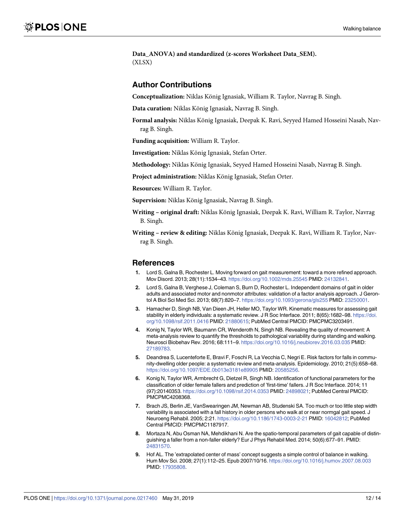<span id="page-13-0"></span>**Data\_ANOVA) and standardized (z-scores Worksheet Data\_SEM).** (XLSX)

#### **Author Contributions**

**Conceptualization:** Niklas König Ignasiak, William R. Taylor, Navrag B. Singh.

Data curation: Niklas König Ignasiak, Navrag B. Singh.

Formal analysis: Niklas König Ignasiak, Deepak K. Ravi, Seyyed Hamed Hosseini Nasab, Navrag B. Singh.

**Funding acquisition:** William R. Taylor.

**Investigation:** Niklas König Ignasiak, Stefan Orter.

**Methodology:** Niklas König Ignasiak, Seyyed Hamed Hosseini Nasab, Navrag B. Singh.

**Project administration:** Niklas König Ignasiak, Stefan Orter.

**Resources:** William R. Taylor.

**Supervision:** Niklas König Ignasiak, Navrag B. Singh.

**Writing** – **original draft:** Niklas König Ignasiak, Deepak K. Ravi, William R. Taylor, Navrag B. Singh.

**Writing** - review & editing: Niklas König Ignasiak, Deepak K. Ravi, William R. Taylor, Navrag B. Singh.

#### **References**

- **[1](#page-3-0).** Lord S, Galna B, Rochester L. Moving forward on gait measurement: toward a more refined approach. Mov Disord. 2013; 28(11):1534–43. <https://doi.org/10.1002/mds.25545> PMID: [24132841](http://www.ncbi.nlm.nih.gov/pubmed/24132841).
- **[2](#page-3-0).** Lord S, Galna B, Verghese J, Coleman S, Burn D, Rochester L. Independent domains of gait in older adults and associated motor and nonmotor attributes: validation of a factor analysis approach. J Gerontol A Biol Sci Med Sci. 2013; 68(7):820–7. <https://doi.org/10.1093/gerona/gls255> PMID: [23250001](http://www.ncbi.nlm.nih.gov/pubmed/23250001).
- **[3](#page-3-0).** Hamacher D, Singh NB, Van Dieen JH, Heller MO, Taylor WR. Kinematic measures for assessing gait stability in elderly individuals: a systematic review. J R Soc Interface. 2011; 8(65):1682-98. [https://doi.](https://doi.org/10.1098/rsif.2011.0416) [org/10.1098/rsif.2011.0416](https://doi.org/10.1098/rsif.2011.0416) PMID: [21880615;](http://www.ncbi.nlm.nih.gov/pubmed/21880615) PubMed Central PMCID: PMCPMC3203491.
- **[4](#page-4-0).** Konig N, Taylor WR, Baumann CR, Wenderoth N, Singh NB. Revealing the quality of movement: A meta-analysis review to quantify the thresholds to pathological variability during standing and walking. Neurosci Biobehav Rev. 2016; 68:111–9. <https://doi.org/10.1016/j.neubiorev.2016.03.035> PMID: [27189783](http://www.ncbi.nlm.nih.gov/pubmed/27189783).
- **[5](#page-3-0).** Deandrea S, Lucenteforte E, Bravi F, Foschi R, La Vecchia C, Negri E. Risk factors for falls in community-dwelling older people: a systematic review and meta-analysis. Epidemiology. 2010; 21(5):658–68. <https://doi.org/10.1097/EDE.0b013e3181e89905> PMID: [20585256.](http://www.ncbi.nlm.nih.gov/pubmed/20585256)
- **[6](#page-3-0).** Konig N, Taylor WR, Armbrecht G, Dietzel R, Singh NB. Identification of functional parameters for the classification of older female fallers and prediction of 'first-time' fallers. J R Soc Interface. 2014; 11 (97):20140353. <https://doi.org/10.1098/rsif.2014.0353> PMID: [24898021](http://www.ncbi.nlm.nih.gov/pubmed/24898021); PubMed Central PMCID: PMCPMC4208368.
- **[7](#page-3-0).** Brach JS, Berlin JE, VanSwearingen JM, Newman AB, Studenski SA. Too much or too little step width variability is associated with a fall history in older persons who walk at or near normgal gait speed. J Neuroeng Rehabil. 2005; 2:21. <https://doi.org/10.1186/1743-0003-2-21> PMID: [16042812;](http://www.ncbi.nlm.nih.gov/pubmed/16042812) PubMed Central PMCID: PMCPMC1187917.
- **[8](#page-3-0).** Mortaza N, Abu Osman NA, Mehdikhani N. Are the spatio-temporal parameters of gait capable of distinguishing a faller from a non-faller elderly? Eur J Phys Rehabil Med. 2014; 50(6):677–91. PMID: [24831570](http://www.ncbi.nlm.nih.gov/pubmed/24831570).
- **[9](#page-3-0).** Hof AL. The 'extrapolated center of mass' concept suggests a simple control of balance in walking. Hum Mov Sci. 2008; 27(1):112–25. Epub 2007/10/16. <https://doi.org/10.1016/j.humov.2007.08.003> PMID: [17935808](http://www.ncbi.nlm.nih.gov/pubmed/17935808).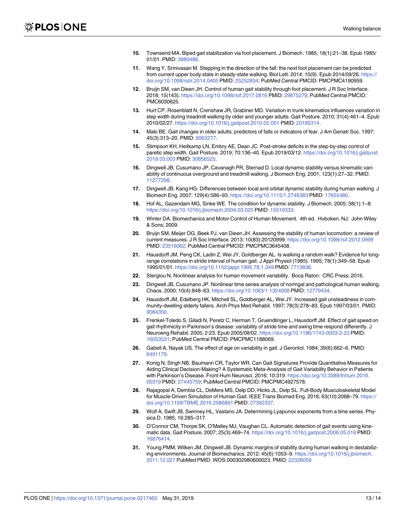- <span id="page-14-0"></span>**10.** Townsend MA. Biped gait stabilization via foot placement. J Biomech. 1985; 18(1):21–38. Epub 1985/ 01/01. PMID: [3980486](http://www.ncbi.nlm.nih.gov/pubmed/3980486).
- **[11](#page-3-0).** Wang Y, Srinivasan M. Stepping in the direction of the fall: the next foot placement can be predicted from current upper body state in steady-state walking. Biol Lett. 2014; 10(9). Epub 2014/09/26. [https://](https://doi.org/10.1098/rsbl.2014.0405) [doi.org/10.1098/rsbl.2014.0405](https://doi.org/10.1098/rsbl.2014.0405) PMID: [25252834;](http://www.ncbi.nlm.nih.gov/pubmed/25252834) PubMed Central PMCID: PMCPMC4190959.
- **[12](#page-3-0).** Bruijn SM, van Dieen JH. Control of human gait stability through foot placement. J R Soc Interface. 2018; 15(143). <https://doi.org/10.1098/rsif.2017.0816> PMID: [29875279;](http://www.ncbi.nlm.nih.gov/pubmed/29875279) PubMed Central PMCID: PMC6030625.
- **[13](#page-3-0).** Hurt CP, Rosenblatt N, Crenshaw JR, Grabiner MD. Variation in trunk kinematics influences variation in step width during treadmill walking by older and younger adults. Gait Posture. 2010; 31(4):461–4. Epub 2010/02/27. <https://doi.org/10.1016/j.gaitpost.2010.02.001> PMID: [20185314.](http://www.ncbi.nlm.nih.gov/pubmed/20185314)
- **[14](#page-3-0).** Maki BE. Gait changes in older adults: predictors of falls or indicators of fear. J Am Geriatr Soc. 1997; 45(3):313–20. PMID: [9063277](http://www.ncbi.nlm.nih.gov/pubmed/9063277).
- **[15](#page-3-0).** Stimpson KH, Heitkamp LN, Embry AE, Dean JC. Post-stroke deficits in the step-by-step control of paretic step width. Gait Posture. 2019; 70:136–40. Epub 2019/03/12. [https://doi.org/10.1016/j.gaitpost.](https://doi.org/10.1016/j.gaitpost.2019.03.003) [2019.03.003](https://doi.org/10.1016/j.gaitpost.2019.03.003) PMID: [30856525.](http://www.ncbi.nlm.nih.gov/pubmed/30856525)
- **[16](#page-3-0).** Dingwell JB, Cusumano JP, Cavanagh PR, Sternad D. Local dynamic stability versus kinematic variability of continuous overground and treadmill walking. J Biomech Eng. 2001; 123(1):27–32. PMID: [11277298](http://www.ncbi.nlm.nih.gov/pubmed/11277298).
- **[17](#page-4-0).** Dingwell JB, Kang HG. Differences between local and orbital dynamic stability during human walking. J Biomech Eng. 2007; 129(4):586–93. <https://doi.org/10.1115/1.2746383> PMID: [17655480](http://www.ncbi.nlm.nih.gov/pubmed/17655480).
- **[18](#page-3-0).** Hof AL, Gazendam MG, Sinke WE. The condition for dynamic stability. J Biomech. 2005; 38(1):1–8. <https://doi.org/10.1016/j.jbiomech.2004.03.025> PMID: [15519333.](http://www.ncbi.nlm.nih.gov/pubmed/15519333)
- **[19](#page-3-0).** Winter DA. Biomechanics and Motor Control of Human Movement. 4th ed. Hoboken, NJ: John Wiley & Sons; 2009.
- **[20](#page-3-0).** Bruijn SM, Meijer OG, Beek PJ, van Dieen JH. Assessing the stability of human locomotion: a review of current measures. J R Soc Interface. 2013; 10(83):20120999. <https://doi.org/10.1098/rsif.2012.0999> PMID: [23516062](http://www.ncbi.nlm.nih.gov/pubmed/23516062); PubMed Central PMCID: PMCPMC3645408.
- **21.** Hausdorff JM, Peng CK, Ladin Z, Wei JY, Goldberger AL. Is walking a random walk? Evidence for longrange correlations in stride interval of human gait. J Appl Physiol (1985). 1995; 78(1):349–58. Epub 1995/01/01. <https://doi.org/10.1152/jappl.1995.78.1.349> PMID: [7713836](http://www.ncbi.nlm.nih.gov/pubmed/7713836).
- **[22](#page-4-0).** Stergiou N. Nonlinear analysis for human movement variability. Boca Raton: CRC Press; 2016.
- **[23](#page-4-0).** Dingwell JB, Cusumano JP. Nonlinear time series analysis of normgal and pathological human walking. Chaos. 2000; 10(4):848–63. <https://doi.org/10.1063/1.1324008> PMID: [12779434](http://www.ncbi.nlm.nih.gov/pubmed/12779434).
- **[24](#page-4-0).** Hausdorff JM, Edelberg HK, Mitchell SL, Goldberger AL, Wei JY. Increased gait unsteadiness in community-dwelling elderly fallers. Arch Phys Med Rehabil. 1997; 78(3):278–83. Epub 1997/03/01. PMID: [9084350](http://www.ncbi.nlm.nih.gov/pubmed/9084350).
- **[25](#page-11-0).** Frenkel-Toledo S, Giladi N, Peretz C, Herman T, Gruendlinger L, Hausdorff JM. Effect of gait speed on gait rhythmicity in Parkinson's disease: variability of stride time and swing time respond differently. J Neuroeng Rehabil. 2005; 2:23. Epub 2005/08/02. <https://doi.org/10.1186/1743-0003-2-23> PMID: [16053531](http://www.ncbi.nlm.nih.gov/pubmed/16053531); PubMed Central PMCID: PMCPMC1188069.
- **[26](#page-9-0).** Gabell A, Nayak US. The effect of age on variability in gait. J Gerontol. 1984; 39(6):662–6. PMID: [6491179](http://www.ncbi.nlm.nih.gov/pubmed/6491179).
- **[27](#page-4-0).** Konig N, Singh NB, Baumann CR, Taylor WR. Can Gait Signatures Provide Quantitative Measures for Aiding Clinical Decision-Making? A Systematic Meta-Analysis of Gait Variability Behavior in Patients with Parkinson's Disease. Front Hum Neurosci. 2016; 10:319. [https://doi.org/10.3389/fnhum.2016.](https://doi.org/10.3389/fnhum.2016.00319) [00319](https://doi.org/10.3389/fnhum.2016.00319) PMID: [27445759;](http://www.ncbi.nlm.nih.gov/pubmed/27445759) PubMed Central PMCID: PMCPMC4927578.
- **[28](#page-5-0).** Rajagopal A, Dembia CL, DeMers MS, Delp DD, Hicks JL, Delp SL. Full-Body Musculoskeletal Model for Muscle-Driven Simulation of Human Gait. IEEE Trans Biomed Eng. 2016; 63(10):2068–79. [https://](https://doi.org/10.1109/TBME.2016.2586891) [doi.org/10.1109/TBME.2016.2586891](https://doi.org/10.1109/TBME.2016.2586891) PMID: [27392337](http://www.ncbi.nlm.nih.gov/pubmed/27392337).
- **[29](#page-5-0).** Wolf A, Swift JB, Swinney HL, Vastano JA. Determining Lyapunov exponents from a time series. Physica D. 1985; 16:285–317.
- **[30](#page-5-0).** O'Connor CM, Thorpe SK, O'Malley MJ, Vaughan CL. Automatic detection of gait events using kinematic data. Gait Posture. 2007; 25(3):469–74. <https://doi.org/10.1016/j.gaitpost.2006.05.016> PMID: [16876414](http://www.ncbi.nlm.nih.gov/pubmed/16876414).
- **[31](#page-6-0).** Young PMM, Wilken JM, Dingwell JB. Dynamic margins of stability during human walking in destabilizing environments. Journal of Biomechanics. 2012; 45(6):1053–9. [https://doi.org/10.1016/j.jbiomech.](https://doi.org/10.1016/j.jbiomech.2011.12.027) [2011.12.027](https://doi.org/10.1016/j.jbiomech.2011.12.027) PubMed PMID: WOS:000302980600023. PMID: [22326059](http://www.ncbi.nlm.nih.gov/pubmed/22326059)